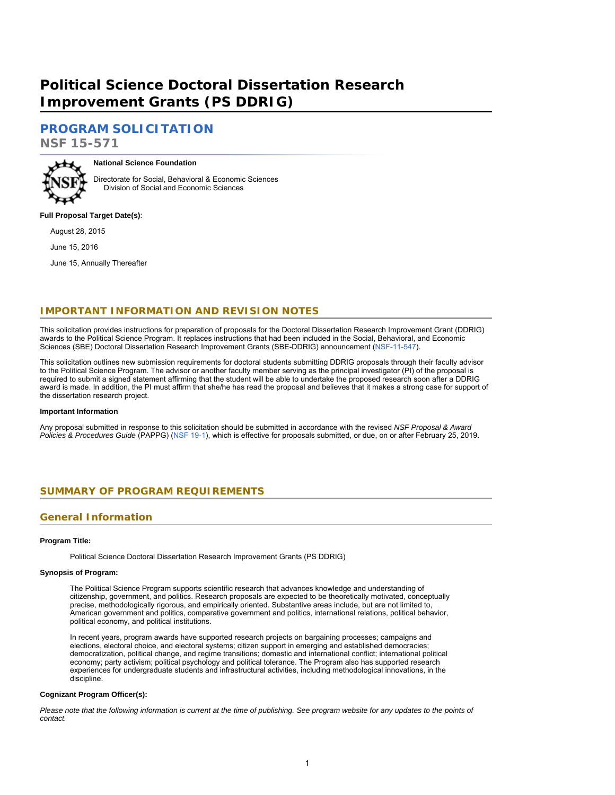# <span id="page-0-1"></span>**Political Science Doctoral Dissertation Research Improvement Grants (PS DDRIG)**

# **[PROGRAM SOLICITATION](#page-2-0)**

**NSF 15-571**



**National Science Foundation**

Directorate for Social, Behavioral & Economic Sciences Division of Social and Economic Sciences

### **Full Proposal Target Date(s)**:

August 28, 2015

June 15, 2016

June 15, Annually Thereafter

# **IMPORTANT INFORMATION AND REVISION NOTES**

This solicitation provides instructions for preparation of proposals for the Doctoral Dissertation Research Improvement Grant (DDRIG) awards to the Political Science Program. It replaces instructions that had been included in the Social, Behavioral, and Economic Sciences (SBE) Doctoral Dissertation Research Improvement Grants (SBE-DDRIG) announcement ([NSF-11-547\)](https://www.nsf.gov/publications/pub_summ.jsp?ods_key=nsf11547).

This solicitation outlines new submission requirements for doctoral students submitting DDRIG proposals through their faculty advisor to the Political Science Program. The advisor or another faculty member serving as the principal investigator (PI) of the proposal is required to submit a signed statement affirming that the student will be able to undertake the proposed research soon after a DDRIG award is made. In addition, the PI must affirm that she/he has read the proposal and believes that it makes a strong case for support of the dissertation research project.

#### **Important Information**

<span id="page-0-0"></span>Any proposal submitted in response to this solicitation should be submitted in accordance with the revised *NSF Proposal & Award Policies & Procedures Guide* (PAPPG) ([NSF 19-1\)](https://www.nsf.gov/publications/pub_summ.jsp?ods_key=nsf19001), which is effective for proposals submitted, or due, on or after February 25, 2019.

# **SUMMARY OF PROGRAM REQUIREMENTS**

# **General Information**

### **Program Title:**

Political Science Doctoral Dissertation Research Improvement Grants (PS DDRIG)

### **Synopsis of Program:**

The Political Science Program supports scientific research that advances knowledge and understanding of citizenship, government, and politics. Research proposals are expected to be theoretically motivated, conceptually precise, methodologically rigorous, and empirically oriented. Substantive areas include, but are not limited to, American government and politics, comparative government and politics, international relations, political behavior, political economy, and political institutions.

In recent years, program awards have supported research projects on bargaining processes; campaigns and elections, electoral choice, and electoral systems; citizen support in emerging and established democracies; democratization, political change, and regime transitions; domestic and international conflict; international political economy; party activism; political psychology and political tolerance. The Program also has supported research experiences for undergraduate students and infrastructural activities, including methodological innovations, in the discipline.

#### **Cognizant Program Officer(s):**

*Please note that the following information is current at the time of publishing. See program website for any updates to the points of contact.*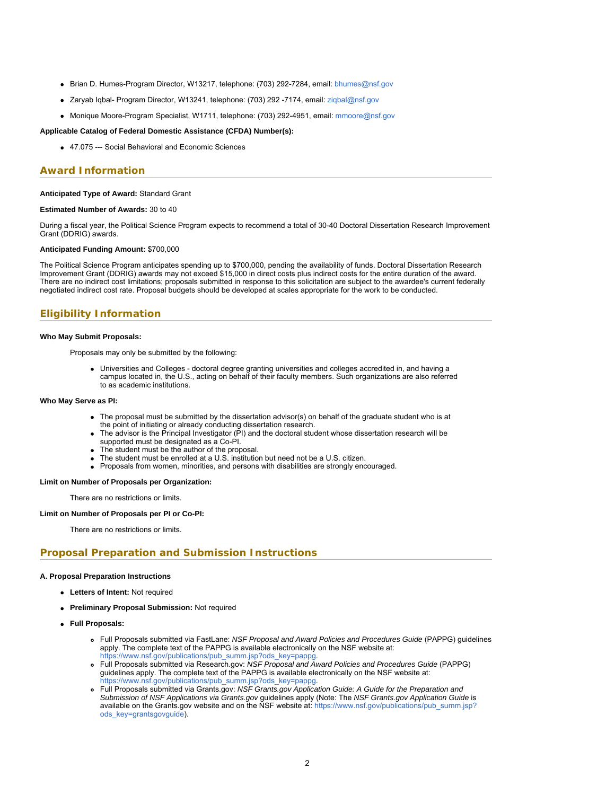- Brian D. Humes-Program Director, W13217, telephone: (703) 292-7284, email: [bhumes@nsf.gov](mailto:bhumes@nsf.gov)
- Zaryab Iqbal- Program Director, W13241, telephone: (703) 292 -7174, email: [ziqbal@nsf.gov](mailto:ziqbal@nsf.gov)
- Monique Moore-Program Specialist, W1711, telephone: (703) 292-4951, email: [mmoore@nsf.gov](mailto:mmoore@nsf.gov)

#### **Applicable Catalog of Federal Domestic Assistance (CFDA) Number(s):**

47.075 --- Social Behavioral and Economic Sciences

### **Award Information**

#### **Anticipated Type of Award:** Standard Grant

#### **Estimated Number of Awards:** 30 to 40

During a fiscal year, the Political Science Program expects to recommend a total of 30-40 Doctoral Dissertation Research Improvement Grant (DDRIG) awards.

#### **Anticipated Funding Amount:** \$700,000

The Political Science Program anticipates spending up to \$700,000, pending the availability of funds. Doctoral Dissertation Research Improvement Grant (DDRIG) awards may not exceed \$15,000 in direct costs plus indirect costs for the entire duration of the award. There are no indirect cost limitations; proposals submitted in response to this solicitation are subject to the awardee's current federally negotiated indirect cost rate. Proposal budgets should be developed at scales appropriate for the work to be conducted.

# **Eligibility Information**

#### **Who May Submit Proposals:**

Proposals may only be submitted by the following:

Universities and Colleges - doctoral degree granting universities and colleges accredited in, and having a campus located in, the U.S., acting on behalf of their faculty members. Such organizations are also referred to as academic institutions.

#### **Who May Serve as PI:**

- The proposal must be submitted by the dissertation advisor(s) on behalf of the graduate student who is at the point of initiating or already conducting dissertation research.
- The advisor is the Principal Investigator (PI) and the doctoral student whose dissertation research will be supported must be designated as a Co-PI.
- The student must be the author of the proposal.
- The student must be enrolled at a U.S. institution but need not be a U.S. citizen.
- Proposals from women, minorities, and persons with disabilities are strongly encouraged.

#### **Limit on Number of Proposals per Organization:**

There are no restrictions or limits.

#### **Limit on Number of Proposals per PI or Co-PI:**

There are no restrictions or limits.

### **Proposal Preparation and Submission Instructions**

#### **A. Proposal Preparation Instructions**

- **Letters of Intent:** Not required
- **Preliminary Proposal Submission:** Not required
- **Full Proposals:**
	- Full Proposals submitted via FastLane: *NSF Proposal and Award Policies and Procedures Guide* (PAPPG) guidelines apply. The complete text of the PAPPG is available electronically on the NSF website at: [https://www.nsf.gov/publications/pub\\_summ.jsp?ods\\_key=pappg.](https://www.nsf.gov/publications/pub_summ.jsp?ods_key=pappg)
	- Full Proposals submitted via Research.gov: *NSF Proposal and Award Policies and Procedures Guide* (PAPPG) guidelines apply. The complete text of the PAPPG is available electronically on the NSF website at: https://www.nsf.gov/publications/pub\_summ.jsp?ods\_key=pappg
	- Full Proposals submitted via Grants.gov: *NSF Grants.gov Application Guide: A Guide for the Preparation and Submission of NSF Applications via Grants.gov* guidelines apply (Note: The *NSF Grants.gov Application Guide* is available on the Grants.gov website and on the NSF website at: [https://www.nsf.gov/publications/pub\\_summ.jsp?](https://www.nsf.gov/publications/pub_summ.jsp?ods_key=grantsgovguide) [ods\\_key=grantsgovguide](https://www.nsf.gov/publications/pub_summ.jsp?ods_key=grantsgovguide)).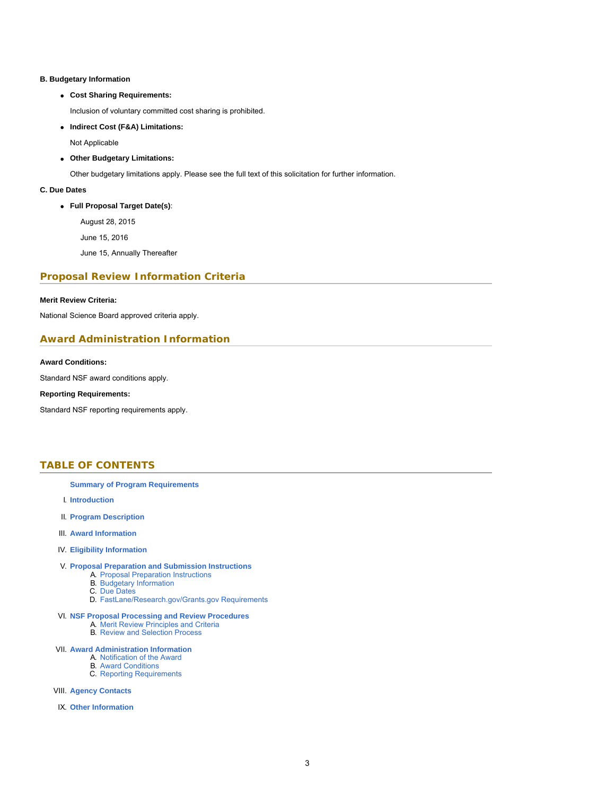### **B. Budgetary Information**

# **Cost Sharing Requirements:**

Inclusion of voluntary committed cost sharing is prohibited.

**Indirect Cost (F&A) Limitations:**

Not Applicable

**Other Budgetary Limitations:**

Other budgetary limitations apply. Please see the full text of this solicitation for further information.

### **C. Due Dates**

**Full Proposal Target Date(s)**:

August 28, 2015

June 15, 2016

June 15, Annually Thereafter

# **Proposal Review Information Criteria**

### **Merit Review Criteria:**

National Science Board approved criteria apply.

# **Award Administration Information**

### **Award Conditions:**

Standard NSF award conditions apply.

### **Reporting Requirements:**

<span id="page-2-0"></span>Standard NSF reporting requirements apply.

# **TABLE OF CONTENTS**

### **[Summary of Program Requirements](#page-0-0)**

- I. **[Introduction](#page-2-1)**
- II. **[Program Description](#page-3-0)**
- III. **[Award Information](#page-4-0)**

### IV. **[Eligibility Information](#page-4-1)**

### V. **[Proposal Preparation and Submission Instructions](#page-4-2)**

- A. [Proposal Preparation Instructions](#page-4-2)
- B. [Budgetary Information](#page-7-0)
- C. [Due Dates](#page-7-1)
- D. [FastLane/Research.gov/Grants.gov Requirements](#page-0-1)

#### VI. **[NSF Proposal Processing and Review Procedures](#page-8-0)**

- A. [Merit Review Principles and Criteria](#page-8-1)
- B. [Review and Selection Process](#page-9-0)

### VII. **[Award Administration Information](#page-10-0)**

- A. [Notification of the Award](#page-10-1)
- B. [Award Conditions](#page-10-2)
- C. [Reporting Requirements](#page-10-3)

### VIII. **[Agency Contacts](#page-11-0)**

<span id="page-2-1"></span>IX. **[Other Information](#page-11-1)**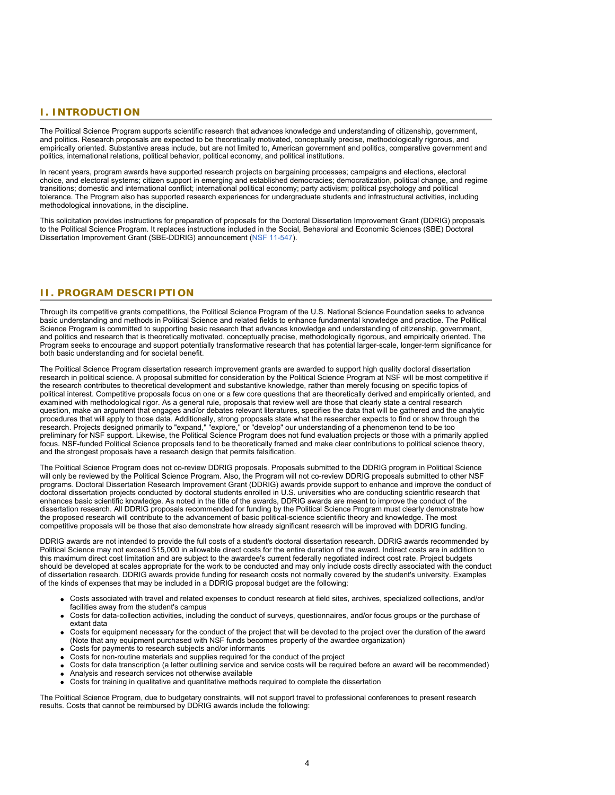# **I. INTRODUCTION**

The Political Science Program supports scientific research that advances knowledge and understanding of citizenship, government, and politics. Research proposals are expected to be theoretically motivated, conceptually precise, methodologically rigorous, and empirically oriented. Substantive areas include, but are not limited to, American government and politics, comparative government and politics, international relations, political behavior, political economy, and political institutions.

In recent years, program awards have supported research projects on bargaining processes; campaigns and elections, electoral choice, and electoral systems; citizen support in emerging and established democracies; democratization, political change, and regime transitions; domestic and international conflict; international political economy; party activism; political psychology and political tolerance. The Program also has supported research experiences for undergraduate students and infrastructural activities, including methodological innovations, in the discipline.

<span id="page-3-0"></span>This solicitation provides instructions for preparation of proposals for the Doctoral Dissertation Improvement Grant (DDRIG) proposals to the Political Science Program. It replaces instructions included in the Social, Behavioral and Economic Sciences (SBE) Doctoral Dissertation Improvement Grant (SBE-DDRIG) announcement [\(NSF 11-547](https://www.nsf.gov/publications/pub_summ.jsp?ods_key=nsf11547)).

# **II. PROGRAM DESCRIPTION**

Through its competitive grants competitions, the Political Science Program of the U.S. National Science Foundation seeks to advance basic understanding and methods in Political Science and related fields to enhance fundamental knowledge and practice. The Political Science Program is committed to supporting basic research that advances knowledge and understanding of citizenship, government, and politics and research that is theoretically motivated, conceptually precise, methodologically rigorous, and empirically oriented. The Program seeks to encourage and support potentially transformative research that has potential larger-scale, longer-term significance for both basic understanding and for societal benefit.

The Political Science Program dissertation research improvement grants are awarded to support high quality doctoral dissertation research in political science. A proposal submitted for consideration by the Political Science Program at NSF will be most competitive if the research contributes to theoretical development and substantive knowledge, rather than merely focusing on specific topics of political interest. Competitive proposals focus on one or a few core questions that are theoretically derived and empirically oriented, and examined with methodological rigor. As a general rule, proposals that review well are those that clearly state a central research question, make an argument that engages and/or debates relevant literatures, specifies the data that will be gathered and the analytic procedures that will apply to those data. Additionally, strong proposals state what the researcher expects to find or show through the research. Projects designed primarily to "expand," "explore," or "develop" our understanding of a phenomenon tend to be too preliminary for NSF support. Likewise, the Political Science Program does not fund evaluation projects or those with a primarily applied focus. NSF-funded Political Science proposals tend to be theoretically framed and make clear contributions to political science theory, and the strongest proposals have a research design that permits falsification.

The Political Science Program does not co-review DDRIG proposals. Proposals submitted to the DDRIG program in Political Science will only be reviewed by the Political Science Program. Also, the Program will not co-review DDRIG proposals submitted to other NSF programs. Doctoral Dissertation Research Improvement Grant (DDRIG) awards provide support to enhance and improve the conduct of doctoral dissertation projects conducted by doctoral students enrolled in U.S. universities who are conducting scientific research that enhances basic scientific knowledge. As noted in the title of the awards, DDRIG awards are meant to improve the conduct of the dissertation research. All DDRIG proposals recommended for funding by the Political Science Program must clearly demonstrate how the proposed research will contribute to the advancement of basic political-science scientific theory and knowledge. The most competitive proposals will be those that also demonstrate how already significant research will be improved with DDRIG funding.

DDRIG awards are not intended to provide the full costs of a student's doctoral dissertation research. DDRIG awards recommended by Political Science may not exceed \$15,000 in allowable direct costs for the entire duration of the award. Indirect costs are in addition to this maximum direct cost limitation and are subject to the awardee's current federally negotiated indirect cost rate. Project budgets should be developed at scales appropriate for the work to be conducted and may only include costs directly associated with the conduct of dissertation research. DDRIG awards provide funding for research costs not normally covered by the student's university. Examples of the kinds of expenses that may be included in a DDRIG proposal budget are the following:

- Costs associated with travel and related expenses to conduct research at field sites, archives, specialized collections, and/or facilities away from the student's campus
- Costs for data-collection activities, including the conduct of surveys, questionnaires, and/or focus groups or the purchase of extant data
- Costs for equipment necessary for the conduct of the project that will be devoted to the project over the duration of the award (Note that any equipment purchased with NSF funds becomes property of the awardee organization)
- Costs for payments to research subjects and/or informants
- Costs for non-routine materials and supplies required for the conduct of the project
- Costs for data transcription (a letter outlining service and service costs will be required before an award will be recommended)
- Analysis and research services not otherwise available
- Costs for training in qualitative and quantitative methods required to complete the dissertation

The Political Science Program, due to budgetary constraints, will not support travel to professional conferences to present research results. Costs that cannot be reimbursed by DDRIG awards include the following: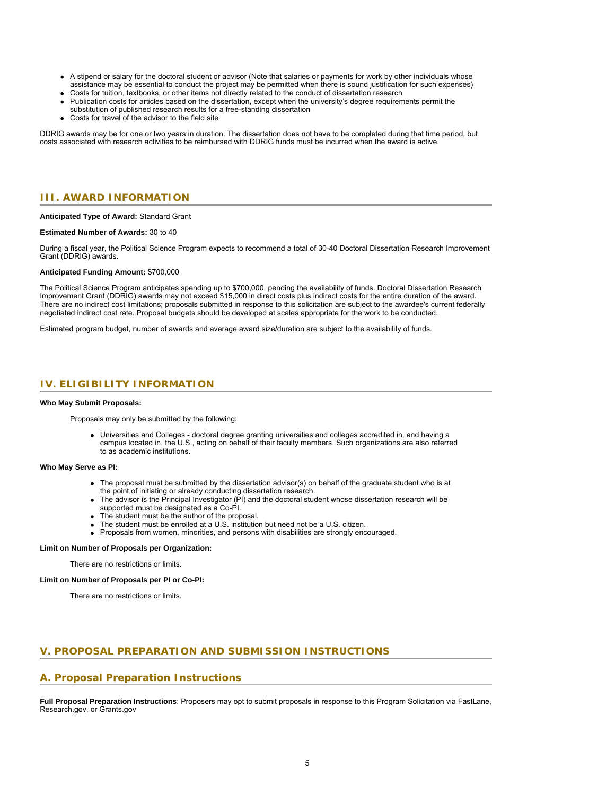- A stipend or salary for the doctoral student or advisor (Note that salaries or payments for work by other individuals whose assistance may be essential to conduct the project may be permitted when there is sound justification for such expenses)
- Costs for tuition, textbooks, or other items not directly related to the conduct of dissertation research
- Publication costs for articles based on the dissertation, except when the university's degree requirements permit the substitution of published research results for a free-standing dissertation
- Costs for travel of the advisor to the field site

<span id="page-4-0"></span>DDRIG awards may be for one or two years in duration. The dissertation does not have to be completed during that time period, but costs associated with research activities to be reimbursed with DDRIG funds must be incurred when the award is active.

### **III. AWARD INFORMATION**

#### **Anticipated Type of Award:** Standard Grant

#### **Estimated Number of Awards:** 30 to 40

During a fiscal year, the Political Science Program expects to recommend a total of 30-40 Doctoral Dissertation Research Improvement Grant (DDRIG) awards.

#### **Anticipated Funding Amount:** \$700,000

The Political Science Program anticipates spending up to \$700,000, pending the availability of funds. Doctoral Dissertation Research Improvement Grant (DDRIG) awards may not exceed \$15,000 in direct costs plus indirect costs for the entire duration of the award. There are no indirect cost limitations; proposals submitted in response to this solicitation are subject to the awardee's current federally negotiated indirect cost rate. Proposal budgets should be developed at scales appropriate for the work to be conducted.

<span id="page-4-1"></span>Estimated program budget, number of awards and average award size/duration are subject to the availability of funds.

# **IV. ELIGIBILITY INFORMATION**

#### **Who May Submit Proposals:**

Proposals may only be submitted by the following:

Universities and Colleges - doctoral degree granting universities and colleges accredited in, and having a campus located in, the U.S., acting on behalf of their faculty members. Such organizations are also referred to as academic institutions.

### **Who May Serve as PI:**

- The proposal must be submitted by the dissertation advisor(s) on behalf of the graduate student who is at the point of initiating or already conducting dissertation research.
- The advisor is the Principal Investigator (PI) and the doctoral student whose dissertation research will be supported must be designated as a Co-PI.
- The student must be the author of the proposal.
- The student must be enrolled at a U.S. institution but need not be a U.S. citizen.
- Proposals from women, minorities, and persons with disabilities are strongly encouraged.

#### **Limit on Number of Proposals per Organization:**

There are no restrictions or limits.

#### <span id="page-4-2"></span>**Limit on Number of Proposals per PI or Co-PI:**

There are no restrictions or limits.

# **V. PROPOSAL PREPARATION AND SUBMISSION INSTRUCTIONS**

### **A. Proposal Preparation Instructions**

**Full Proposal Preparation Instructions**: Proposers may opt to submit proposals in response to this Program Solicitation via FastLane, Research.gov, or Grants.gov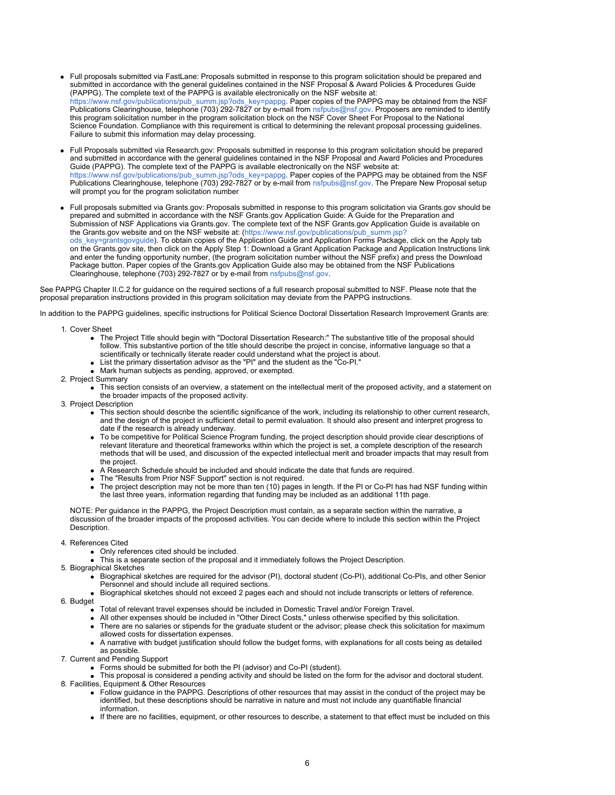- Full proposals submitted via FastLane: Proposals submitted in response to this program solicitation should be prepared and submitted in accordance with the general guidelines contained in the NSF Proposal & Award Policies & Procedures Guide (PAPPG). The complete text of the PAPPG is available electronically on the NSF website at: [https://www.nsf.gov/publications/pub\\_summ.jsp?ods\\_key=pappg.](https://www.nsf.gov/publications/pub_summ.jsp?ods_key=pappg) Paper copies of the PAPPG may be obtained from the NSF Publications Clearinghouse, telephone (703) 292-7827 or by e-mail from [nsfpubs@nsf.gov](mailto:nsfpubs@nsf.gov). Proposers are reminded to identify this program solicitation number in the program solicitation block on the NSF Cover Sheet For Proposal to the National Science Foundation. Compliance with this requirement is critical to determining the relevant proposal processing guidelines. Failure to submit this information may delay processing.
- Full Proposals submitted via Research.gov: Proposals submitted in response to this program solicitation should be prepared and submitted in accordance with the general guidelines contained in the NSF Proposal and Award Policies and Procedures Guide (PAPPG). The complete text of the PAPPG is available electronically on the NSF website at: [https://www.nsf.gov/publications/pub\\_summ.jsp?ods\\_key=pappg.](https://www.nsf.gov/publications/pub_summ.jsp?ods_key=pappg) Paper copies of the PAPPG may be obtained from the NSF Publications Clearinghouse, telephone (703) 292-7827 or by e-mail from [nsfpubs@nsf.gov](mailto:nsfpubs@nsf.gov). The Prepare New Proposal setup will prompt you for the program solicitation number
- Full proposals submitted via Grants.gov: Proposals submitted in response to this program solicitation via Grants.gov should be prepared and submitted in accordance with the NSF Grants.gov Application Guide: A Guide for the Preparation and Submission of NSF Applications via Grants.gov. The complete text of the NSF Grants.gov Application Guide is available on the Grants.gov website and on the NSF website at: [\(https://www.nsf.gov/publications/pub\\_summ.jsp?](https://www.nsf.gov/publications/pub_summ.jsp?ods_key=grantsgovguide) [ods\\_key=grantsgovguide](https://www.nsf.gov/publications/pub_summ.jsp?ods_key=grantsgovguide)). To obtain copies of the Application Guide and Application Forms Package, click on the Apply tab on the Grants.gov site, then click on the Apply Step 1: Download a Grant Application Package and Application Instructions link and enter the funding opportunity number, (the program solicitation number without the NSF prefix) and press the Download Package button. Paper copies of the Grants.gov Application Guide also may be obtained from the NSF Publications Clearinghouse, telephone (703) 292-7827 or by e-mail from [nsfpubs@nsf.gov](mailto:nsfpubs@nsf.gov).

See PAPPG Chapter II.C.2 for guidance on the required sections of a full research proposal submitted to NSF. Please note that the proposal preparation instructions provided in this program solicitation may deviate from the PAPPG instructions.

In addition to the PAPPG guidelines, specific instructions for Political Science Doctoral Dissertation Research Improvement Grants are:

- 1. Cover Sheet
	- The Project Title should begin with "Doctoral Dissertation Research:" The substantive title of the proposal should follow. This substantive portion of the title should describe the project in concise, informative language so that a scientifically or technically literate reader could understand what the project is about.
	- List the primary dissertation advisor as the "PI" and the student as the "Co-PI."
	- Mark human subjects as pending, approved, or exempted.
- 2. Project Summary
	- This section consists of an overview, a statement on the intellectual merit of the proposed activity, and a statement on the broader impacts of the proposed activity.
- 3. Project Description
	- This section should describe the scientific significance of the work, including its relationship to other current research, and the design of the project in sufficient detail to permit evaluation. It should also present and interpret progress to date if the research is already underway.
	- To be competitive for Political Science Program funding, the project description should provide clear descriptions of relevant literature and theoretical frameworks within which the project is set, a complete description of the research methods that will be used, and discussion of the expected intellectual merit and broader impacts that may result from the project.
	- A Research Schedule should be included and should indicate the date that funds are required.
	- The "Results from Prior NSF Support" section is not required.
	- The project description may not be more than ten (10) pages in length. If the PI or Co-PI has had NSF funding within the last three years, information regarding that funding may be included as an additional 11th page.

NOTE: Per guidance in the PAPPG, the Project Description must contain, as a separate section within the narrative, a discussion of the broader impacts of the proposed activities. You can decide where to include this section within the Project Description.

- 4. References Cited
	- Only references cited should be included.
	- This is a separate section of the proposal and it immediately follows the Project Description.
- 5. Biographical Sketches
	- Biographical sketches are required for the advisor (PI), doctoral student (Co-PI), additional Co-PIs, and other Senior Personnel and should include all required sections.
	- Biographical sketches should not exceed 2 pages each and should not include transcripts or letters of reference.
- 6. Budget
	- Total of relevant travel expenses should be included in Domestic Travel and/or Foreign Travel.
	- All other expenses should be included in "Other Direct Costs," unless otherwise specified by this solicitation.
	- There are no salaries or stipends for the graduate student or the advisor; please check this solicitation for maximum allowed costs for dissertation expenses.
	- A narrative with budget justification should follow the budget forms, with explanations for all costs being as detailed as possible.
- 7. Current and Pending Support
	- Forms should be submitted for both the PI (advisor) and Co-PI (student).
- This proposal is considered a pending activity and should be listed on the form for the advisor and doctoral student. 8. Facilities, Equipment & Other Resources
	- Follow guidance in the PAPPG. Descriptions of other resources that may assist in the conduct of the project may be identified, but these descriptions should be narrative in nature and must not include any quantifiable financial information.
	- If there are no facilities, equipment, or other resources to describe, a statement to that effect must be included on this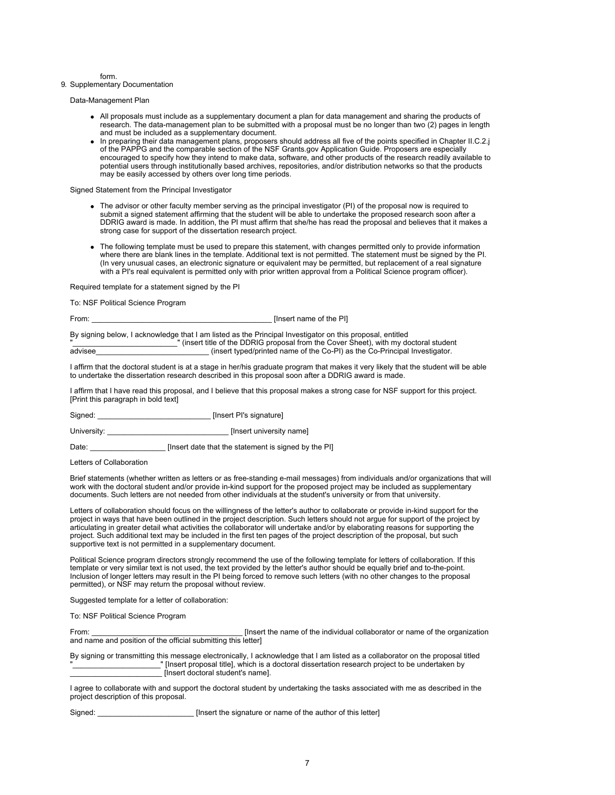form.

#### 9. Supplementary Documentation

Data-Management Plan

- All proposals must include as a supplementary document a plan for data management and sharing the products of research. The data-management plan to be submitted with a proposal must be no longer than two (2) pages in length and must be included as a supplementary document.
- In preparing their data management plans, proposers should address all five of the points specified in Chapter II.C.2.j of the PAPPG and the comparable section of the NSF Grants.gov Application Guide. Proposers are especially encouraged to specify how they intend to make data, software, and other products of the research readily available to potential users through institutionally based archives, repositories, and/or distribution networks so that the products may be easily accessed by others over long time periods.

Signed Statement from the Principal Investigator

- The advisor or other faculty member serving as the principal investigator (PI) of the proposal now is required to submit a signed statement affirming that the student will be able to undertake the proposed research soon after a DDRIG award is made. In addition, the PI must affirm that she/he has read the proposal and believes that it makes a strong case for support of the dissertation research project.
- The following template must be used to prepare this statement, with changes permitted only to provide information where there are blank lines in the template. Additional text is not permitted. The statement must be signed by the PI. (In very unusual cases, an electronic signature or equivalent may be permitted, but replacement of a real signature with a PI's real equivalent is permitted only with prior written approval from a Political Science program officer).

Required template for a statement signed by the PI

To: NSF Political Science Program

From: \_\_\_\_\_\_\_\_\_\_\_\_\_\_\_\_\_\_\_\_\_\_\_\_\_\_\_\_\_\_\_\_\_\_\_\_\_\_\_\_\_\_\_ [Insert name of the PI]

By signing below, I acknowledge that I am listed as the Principal Investigator on this proposal, entitled "<br>"(insert title of the DDRIG proposal from the Cover Sheet), with my doctoral student<br>advisee (insert typed/printed name of the Co-PI) as the Co-Principal Investigator  $\_$  (insert typed/printed name of the Co-PI) as the Co-Principal Investigator.

I affirm that the doctoral student is at a stage in her/his graduate program that makes it very likely that the student will be able to undertake the dissertation research described in this proposal soon after a DDRIG award is made.

I affirm that I have read this proposal, and I believe that this proposal makes a strong case for NSF support for this project. [Print this paragraph in bold text]

Signed: \_\_\_\_\_\_\_\_\_\_\_\_\_\_\_\_\_\_\_\_\_\_\_\_\_\_\_ [Insert PI's signature]

University: \_\_\_\_\_\_\_\_\_\_\_\_\_\_\_\_\_\_\_\_\_\_\_\_\_\_\_\_\_ [Insert university name]

Date: \_\_\_\_\_\_\_\_\_\_\_\_\_\_\_\_\_\_\_\_\_\_\_\_\_[Insert date that the statement is signed by the PI]

Letters of Collaboration

Brief statements (whether written as letters or as free-standing e-mail messages) from individuals and/or organizations that will work with the doctoral student and/or provide in-kind support for the proposed project may be included as supplementary documents. Such letters are not needed from other individuals at the student's university or from that university.

Letters of collaboration should focus on the willingness of the letter's author to collaborate or provide in-kind support for the project in ways that have been outlined in the project description. Such letters should not argue for support of the project by articulating in greater detail what activities the collaborator will undertake and/or by elaborating reasons for supporting the project. Such additional text may be included in the first ten pages of the project description of the proposal, but such supportive text is not permitted in a supplementary document.

Political Science program directors strongly recommend the use of the following template for letters of collaboration. If this template or very similar text is not used, the text provided by the letter's author should be equally brief and to-the-point. Inclusion of longer letters may result in the PI being forced to remove such letters (with no other changes to the proposal permitted), or NSF may return the proposal without review.

Suggested template for a letter of collaboration:

To: NSF Political Science Program

From: \_\_\_\_\_\_\_\_\_\_\_\_\_\_\_\_\_\_\_\_\_\_\_\_\_\_\_\_\_\_\_\_\_\_\_\_ [Insert the name of the individual collaborator or name of the organization and name and position of the official submitting this letter]

By signing or transmitting this message electronically, I acknowledge that I am listed as a collaborator on the proposal titled "\_\_\_\_\_\_\_\_\_\_\_\_\_\_\_\_\_\_\_\_\_" [Insert proposal title], which is a doctoral dissertation research project to be undertaken by \_\_\_\_\_\_\_\_\_\_\_\_\_\_\_\_\_\_\_\_\_\_ [Insert doctoral student's name].

I agree to collaborate with and support the doctoral student by undertaking the tasks associated with me as described in the project description of this proposal.

Signed: \_\_\_\_\_\_\_\_\_\_\_\_\_\_\_\_\_\_\_\_\_\_\_\_\_\_\_\_\_\_[Insert the signature or name of the author of this letter]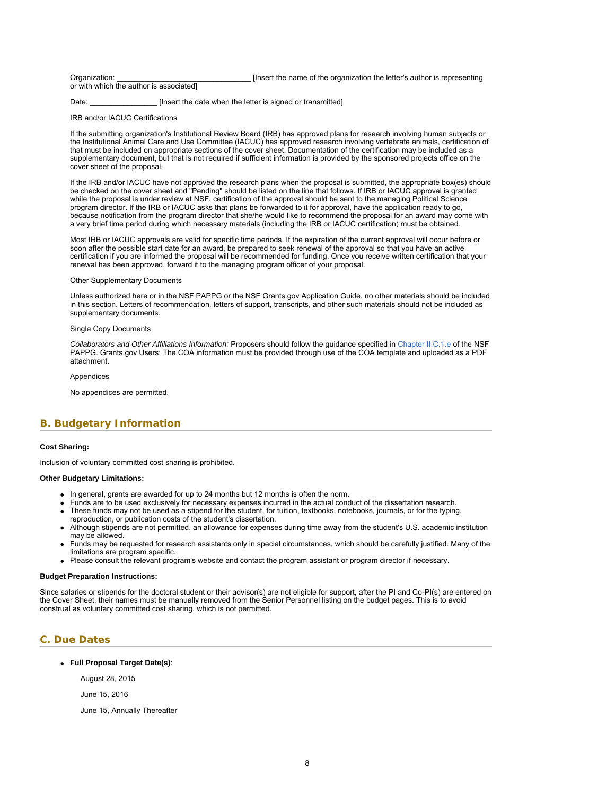<span id="page-7-1"></span>

| Organization:                           | [Insert the name of the organization the letter's author is representing |
|-----------------------------------------|--------------------------------------------------------------------------|
| or with which the author is associated] |                                                                          |

Date: [Insert the date when the letter is signed or transmitted]

IRB and/or IACUC Certifications

If the submitting organization's Institutional Review Board (IRB) has approved plans for research involving human subjects or the Institutional Animal Care and Use Committee (IACUC) has approved research involving vertebrate animals, certification of that must be included on appropriate sections of the cover sheet. Documentation of the certification may be included as a supplementary document, but that is not required if sufficient information is provided by the sponsored projects office on the cover sheet of the proposal.

If the IRB and/or IACUC have not approved the research plans when the proposal is submitted, the appropriate box(es) should be checked on the cover sheet and "Pending" should be listed on the line that follows. If IRB or IACUC approval is granted while the proposal is under review at NSF, certification of the approval should be sent to the managing Political Science program director. If the IRB or IACUC asks that plans be forwarded to it for approval, have the application ready to go, because notification from the program director that she/he would like to recommend the proposal for an award may come with a very brief time period during which necessary materials (including the IRB or IACUC certification) must be obtained.

Most IRB or IACUC approvals are valid for specific time periods. If the expiration of the current approval will occur before or soon after the possible start date for an award, be prepared to seek renewal of the approval so that you have an active certification if you are informed the proposal will be recommended for funding. Once you receive written certification that your renewal has been approved, forward it to the managing program officer of your proposal.

#### Other Supplementary Documents

Unless authorized here or in the NSF PAPPG or the NSF Grants.gov Application Guide, no other materials should be included in this section. Letters of recommendation, letters of support, transcripts, and other such materials should not be included as supplementary documents.

#### Single Copy Documents

*Collaborators and Other Affiliations Information:* Proposers should follow the guidance specified in [Chapter II.C.1.e](https://www.nsf.gov/pubs/policydocs/pappg18_1/pappg_2.jsp#IIC1e) of the NSF PAPPG. Grants.gov Users: The COA information must be provided through use of the COA template and uploaded as a PDF attachment.

#### Appendices

No appendices are permitted.

### <span id="page-7-0"></span>**B. Budgetary Information**

#### **Cost Sharing:**

Inclusion of voluntary committed cost sharing is prohibited.

#### **Other Budgetary Limitations:**

- In general, grants are awarded for up to 24 months but 12 months is often the norm.
- Funds are to be used exclusively for necessary expenses incurred in the actual conduct of the dissertation research.
- These funds may not be used as a stipend for the student, for tuition, textbooks, notebooks, journals, or for the typing, reproduction, or publication costs of the student's dissertation.
- Although stipends are not permitted, an allowance for expenses during time away from the student's U.S. academic institution may be allowed.
- Funds may be requested for research assistants only in special circumstances, which should be carefully justified. Many of the limitations are program specific.
- Please consult the relevant program's website and contact the program assistant or program director if necessary.

#### **Budget Preparation Instructions:**

Since salaries or stipends for the doctoral student or their advisor(s) are not eligible for support, after the PI and Co-PI(s) are entered on the Cover Sheet, their names must be manually removed from the Senior Personnel listing on the budget pages. This is to avoid construal as voluntary committed cost sharing, which is not permitted.

# **C. Due Dates**

**Full Proposal Target Date(s)**:

August 28, 2015

- June 15, 2016
- June 15, Annually Thereafter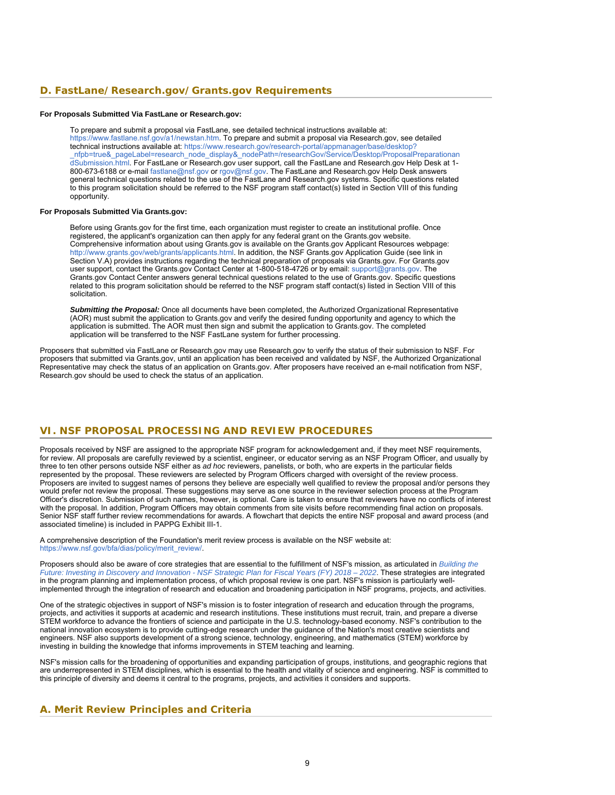# **D. FastLane/Research.gov/Grants.gov Requirements**

#### **For Proposals Submitted Via FastLane or Research.gov:**

To prepare and submit a proposal via FastLane, see detailed technical instructions available at: <https://www.fastlane.nsf.gov/a1/newstan.htm>. To prepare and submit a proposal via Research.gov, see detailed technical instructions available at: [https://www.research.gov/research-portal/appmanager/base/desktop?](https://www.research.gov/research-portal/appmanager/base/desktop?_nfpb=true&_pageLabel=research_node_display&_nodePath=/researchGov/Service/Desktop/ProposalPreparationandSubmission.html) [\\_nfpb=true&\\_pageLabel=research\\_node\\_display&\\_nodePath=/researchGov/Service/Desktop/ProposalPreparationan](https://www.research.gov/research-portal/appmanager/base/desktop?_nfpb=true&_pageLabel=research_node_display&_nodePath=/researchGov/Service/Desktop/ProposalPreparationandSubmission.html) [dSubmission.html.](https://www.research.gov/research-portal/appmanager/base/desktop?_nfpb=true&_pageLabel=research_node_display&_nodePath=/researchGov/Service/Desktop/ProposalPreparationandSubmission.html) For FastLane or Research.gov user support, call the FastLane and Research.gov Help Desk at 1- 800-673-6188 or e-mail [fastlane@nsf.gov](mailto:fastlane@nsf.gov) or [rgov@nsf.gov](mailto:rgov@nsf.gov). The FastLane and Research.gov Help Desk answers general technical questions related to the use of the FastLane and Research.gov systems. Specific questions related to this program solicitation should be referred to the NSF program staff contact(s) listed in Section VIII of this funding opportunity.

#### **For Proposals Submitted Via Grants.gov:**

Before using Grants.gov for the first time, each organization must register to create an institutional profile. Once registered, the applicant's organization can then apply for any federal grant on the Grants.gov website. Comprehensive information about using Grants.gov is available on the Grants.gov Applicant Resources webpage: [http://www.grants.gov/web/grants/applicants.html.](http://www.grants.gov/web/grants/applicants.html) In addition, the NSF Grants.gov Application Guide (see link in Section V.A) provides instructions regarding the technical preparation of proposals via Grants.gov. For Grants.gov user support, contact the Grants.gov Contact Center at 1-800-518-4726 or by email: [support@grants.gov.](mailto:support@grants.gov) The Grants.gov Contact Center answers general technical questions related to the use of Grants.gov. Specific questions related to this program solicitation should be referred to the NSF program staff contact(s) listed in Section VIII of this solicitation.

*Submitting the Proposal:* Once all documents have been completed, the Authorized Organizational Representative (AOR) must submit the application to Grants.gov and verify the desired funding opportunity and agency to which the application is submitted. The AOR must then sign and submit the application to Grants.gov. The completed application will be transferred to the NSF FastLane system for further processing.

<span id="page-8-0"></span>Proposers that submitted via FastLane or Research.gov may use Research.gov to verify the status of their submission to NSF. For proposers that submitted via Grants.gov, until an application has been received and validated by NSF, the Authorized Organizational Representative may check the status of an application on Grants.gov. After proposers have received an e-mail notification from NSF, Research.gov should be used to check the status of an application.

# **VI. NSF PROPOSAL PROCESSING AND REVIEW PROCEDURES**

Proposals received by NSF are assigned to the appropriate NSF program for acknowledgement and, if they meet NSF requirements, for review. All proposals are carefully reviewed by a scientist, engineer, or educator serving as an NSF Program Officer, and usually by three to ten other persons outside NSF either as *ad hoc* reviewers, panelists, or both, who are experts in the particular fields represented by the proposal. These reviewers are selected by Program Officers charged with oversight of the review process. Proposers are invited to suggest names of persons they believe are especially well qualified to review the proposal and/or persons they would prefer not review the proposal. These suggestions may serve as one source in the reviewer selection process at the Program Officer's discretion. Submission of such names, however, is optional. Care is taken to ensure that reviewers have no conflicts of interest with the proposal. In addition, Program Officers may obtain comments from site visits before recommending final action on proposals. Senior NSF staff further review recommendations for awards. A flowchart that depicts the entire NSF proposal and award process (and associated timeline) is included in PAPPG Exhibit III-1.

A comprehensive description of the Foundation's merit review process is available on the NSF website at: [https://www.nsf.gov/bfa/dias/policy/merit\\_review/](https://www.nsf.gov/bfa/dias/policy/merit_review/).

Proposers should also be aware of core strategies that are essential to the fulfillment of NSF's mission, as articulated in *[Building the](https://www.nsf.gov/publications/pub_summ.jsp?ods_key=nsf18045&org=NSF) [Future: Investing in Discovery and Innovation - NSF Strategic Plan for Fiscal Years \(FY\) 2018 – 2022](https://www.nsf.gov/publications/pub_summ.jsp?ods_key=nsf18045&org=NSF)*. These strategies are integrated in the program planning and implementation process, of which proposal review is one part. NSF's mission is particularly wellimplemented through the integration of research and education and broadening participation in NSF programs, projects, and activities.

One of the strategic objectives in support of NSF's mission is to foster integration of research and education through the programs, projects, and activities it supports at academic and research institutions. These institutions must recruit, train, and prepare a diverse STEM workforce to advance the frontiers of science and participate in the U.S. technology-based economy. NSF's contribution to the national innovation ecosystem is to provide cutting-edge research under the guidance of the Nation's most creative scientists and engineers. NSF also supports development of a strong science, technology, engineering, and mathematics (STEM) workforce by investing in building the knowledge that informs improvements in STEM teaching and learning.

<span id="page-8-1"></span>NSF's mission calls for the broadening of opportunities and expanding participation of groups, institutions, and geographic regions that are underrepresented in STEM disciplines, which is essential to the health and vitality of science and engineering. NSF is committed to this principle of diversity and deems it central to the programs, projects, and activities it considers and supports.

# **A. Merit Review Principles and Criteria**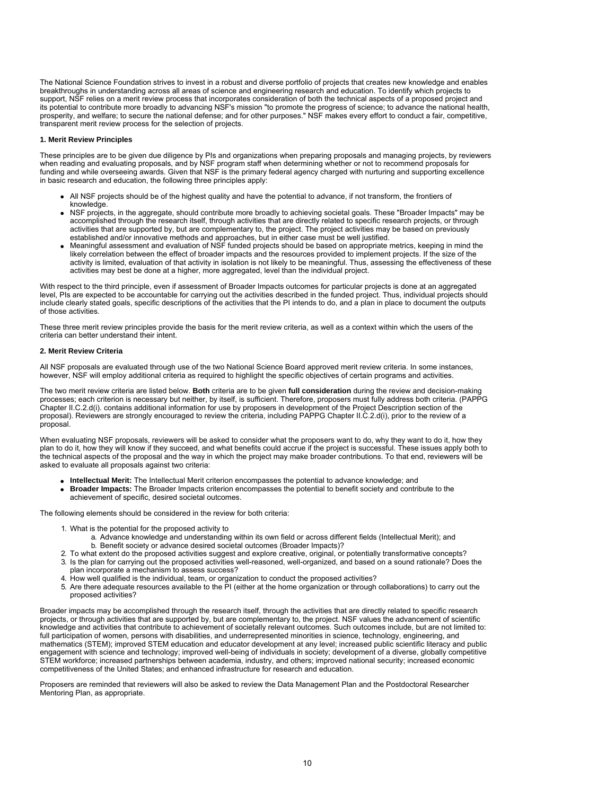The National Science Foundation strives to invest in a robust and diverse portfolio of projects that creates new knowledge and enables breakthroughs in understanding across all areas of science and engineering research and education. To identify which projects to support, NSF relies on a merit review process that incorporates consideration of both the technical aspects of a proposed project and its potential to contribute more broadly to advancing NSF's mission "to promote the progress of science; to advance the national health, prosperity, and welfare; to secure the national defense; and for other purposes." NSF makes every effort to conduct a fair, competitive, transparent merit review process for the selection of projects.

#### **1. Merit Review Principles**

These principles are to be given due diligence by PIs and organizations when preparing proposals and managing projects, by reviewers when reading and evaluating proposals, and by NSF program staff when determining whether or not to recommend proposals for funding and while overseeing awards. Given that NSF is the primary federal agency charged with nurturing and supporting excellence in basic research and education, the following three principles apply:

- All NSF projects should be of the highest quality and have the potential to advance, if not transform, the frontiers of knowledge.
- NSF projects, in the aggregate, should contribute more broadly to achieving societal goals. These "Broader Impacts" may be accomplished through the research itself, through activities that are directly related to specific research projects, or through activities that are supported by, but are complementary to, the project. The project activities may be based on previously established and/or innovative methods and approaches, but in either case must be well justified.
- Meaningful assessment and evaluation of NSF funded projects should be based on appropriate metrics, keeping in mind the likely correlation between the effect of broader impacts and the resources provided to implement projects. If the size of the activity is limited, evaluation of that activity in isolation is not likely to be meaningful. Thus, assessing the effectiveness of these activities may best be done at a higher, more aggregated, level than the individual project.

With respect to the third principle, even if assessment of Broader Impacts outcomes for particular projects is done at an aggregated level, PIs are expected to be accountable for carrying out the activities described in the funded project. Thus, individual projects should include clearly stated goals, specific descriptions of the activities that the PI intends to do, and a plan in place to document the outputs of those activities.

These three merit review principles provide the basis for the merit review criteria, as well as a context within which the users of the criteria can better understand their intent.

### **2. Merit Review Criteria**

All NSF proposals are evaluated through use of the two National Science Board approved merit review criteria. In some instances, however, NSF will employ additional criteria as required to highlight the specific objectives of certain programs and activities.

The two merit review criteria are listed below. **Both** criteria are to be given **full consideration** during the review and decision-making processes; each criterion is necessary but neither, by itself, is sufficient. Therefore, proposers must fully address both criteria. (PAPPG Chapter II.C.2.d(i). contains additional information for use by proposers in development of the Project Description section of the proposal). Reviewers are strongly encouraged to review the criteria, including PAPPG Chapter II.C.2.d(i), prior to the review of a proposal.

When evaluating NSF proposals, reviewers will be asked to consider what the proposers want to do, why they want to do it, how they plan to do it, how they will know if they succeed, and what benefits could accrue if the project is successful. These issues apply both to the technical aspects of the proposal and the way in which the project may make broader contributions. To that end, reviewers will be asked to evaluate all proposals against two criteria:

- **Intellectual Merit:** The Intellectual Merit criterion encompasses the potential to advance knowledge; and
- **Broader Impacts:** The Broader Impacts criterion encompasses the potential to benefit society and contribute to the achievement of specific, desired societal outcomes.

The following elements should be considered in the review for both criteria:

- 1. What is the potential for the proposed activity to
	- a. Advance knowledge and understanding within its own field or across different fields (Intellectual Merit); and b. Benefit society or advance desired societal outcomes (Broader Impacts)?
- 2. To what extent do the proposed activities suggest and explore creative, original, or potentially transformative concepts?<br>3. Is the plan for carrying out the proposed activities well-reasoned, well-organized, and based
- Is the plan for carrying out the proposed activities well-reasoned, well-organized, and based on a sound rationale? Does the plan incorporate a mechanism to assess success?
- 4. How well qualified is the individual, team, or organization to conduct the proposed activities?
- 5. Are there adequate resources available to the PI (either at the home organization or through collaborations) to carry out the proposed activities?

Broader impacts may be accomplished through the research itself, through the activities that are directly related to specific research projects, or through activities that are supported by, but are complementary to, the project. NSF values the advancement of scientific knowledge and activities that contribute to achievement of societally relevant outcomes. Such outcomes include, but are not limited to: full participation of women, persons with disabilities, and underrepresented minorities in science, technology, engineering, and mathematics (STEM); improved STEM education and educator development at any level; increased public scientific literacy and public engagement with science and technology; improved well-being of individuals in society; development of a diverse, globally competitive STEM workforce; increased partnerships between academia, industry, and others; improved national security; increased economic competitiveness of the United States; and enhanced infrastructure for research and education.

<span id="page-9-0"></span>Proposers are reminded that reviewers will also be asked to review the Data Management Plan and the Postdoctoral Researcher Mentoring Plan, as appropriate.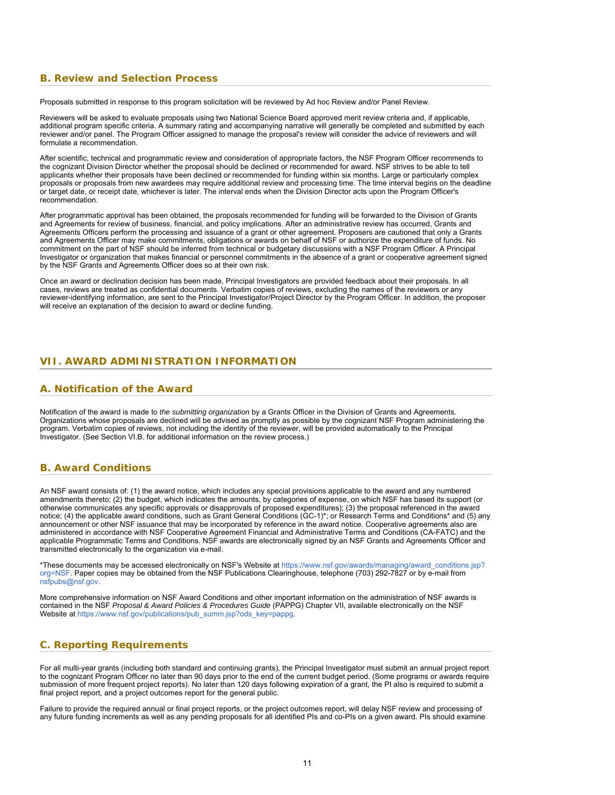# **B. Review and Selection Process**

Proposals submitted in response to this program solicitation will be reviewed by Ad hoc Review and/or Panel Review.

Reviewers will be asked to evaluate proposals using two National Science Board approved merit review criteria and, if applicable, additional program specific criteria. A summary rating and accompanying narrative will generally be completed and submitted by each reviewer and/or panel. The Program Officer assigned to manage the proposal's review will consider the advice of reviewers and will formulate a recommendation.

After scientific, technical and programmatic review and consideration of appropriate factors, the NSF Program Officer recommends to the cognizant Division Director whether the proposal should be declined or recommended for award. NSF strives to be able to tell applicants whether their proposals have been declined or recommended for funding within six months. Large or particularly complex proposals or proposals from new awardees may require additional review and processing time. The time interval begins on the deadline or target date, or receipt date, whichever is later. The interval ends when the Division Director acts upon the Program Officer's recommendation.

After programmatic approval has been obtained, the proposals recommended for funding will be forwarded to the Division of Grants and Agreements for review of business, financial, and policy implications. After an administrative review has occurred, Grants and Agreements Officers perform the processing and issuance of a grant or other agreement. Proposers are cautioned that only a Grants and Agreements Officer may make commitments, obligations or awards on behalf of NSF or authorize the expenditure of funds. No commitment on the part of NSF should be inferred from technical or budgetary discussions with a NSF Program Officer. A Principal Investigator or organization that makes financial or personnel commitments in the absence of a grant or cooperative agreement signed by the NSF Grants and Agreements Officer does so at their own risk.

<span id="page-10-0"></span>Once an award or declination decision has been made, Principal Investigators are provided feedback about their proposals. In all cases, reviews are treated as confidential documents. Verbatim copies of reviews, excluding the names of the reviewers or any reviewer-identifying information, are sent to the Principal Investigator/Project Director by the Program Officer. In addition, the proposer will receive an explanation of the decision to award or decline funding.

# <span id="page-10-1"></span>**VII. AWARD ADMINISTRATION INFORMATION**

### **A. Notification of the Award**

Notification of the award is made to *the submitting organization* by a Grants Officer in the Division of Grants and Agreements. Organizations whose proposals are declined will be advised as promptly as possible by the cognizant NSF Program administering the program. Verbatim copies of reviews, not including the identity of the reviewer, will be provided automatically to the Principal Investigator. (See Section VI.B. for additional information on the review process.)

### <span id="page-10-2"></span>**B. Award Conditions**

An NSF award consists of: (1) the award notice, which includes any special provisions applicable to the award and any numbered amendments thereto; (2) the budget, which indicates the amounts, by categories of expense, on which NSF has based its support (or otherwise communicates any specific approvals or disapprovals of proposed expenditures); (3) the proposal referenced in the award notice; (4) the applicable award conditions, such as Grant General Conditions (GC-1)\*; or Research Terms and Conditions\* and (5) any announcement or other NSF issuance that may be incorporated by reference in the award notice. Cooperative agreements also are administered in accordance with NSF Cooperative Agreement Financial and Administrative Terms and Conditions (CA-FATC) and the applicable Programmatic Terms and Conditions. NSF awards are electronically signed by an NSF Grants and Agreements Officer and transmitted electronically to the organization via e-mail.

\*These documents may be accessed electronically on NSF's Website at [https://www.nsf.gov/awards/managing/award\\_conditions.jsp?](https://www.nsf.gov/awards/managing/award_conditions.jsp?org=NSF) [org=NSF.](https://www.nsf.gov/awards/managing/award_conditions.jsp?org=NSF) Paper copies may be obtained from the NSF Publications Clearinghouse, telephone (703) 292-7827 or by e-mail from [nsfpubs@nsf.gov.](mailto:nsfpubs@nsf.gov)

<span id="page-10-3"></span>More comprehensive information on NSF Award Conditions and other important information on the administration of NSF awards is contained in the NSF *Proposal & Award Policies & Procedures Guide* (PAPPG) Chapter VII, available electronically on the NSF Website at [https://www.nsf.gov/publications/pub\\_summ.jsp?ods\\_key=pappg](https://www.nsf.gov/publications/pub_summ.jsp?ods_key=pappg).

# **C. Reporting Requirements**

For all multi-year grants (including both standard and continuing grants), the Principal Investigator must submit an annual project report to the cognizant Program Officer no later than 90 days prior to the end of the current budget period. (Some programs or awards require submission of more frequent project reports). No later than 120 days following expiration of a grant, the PI also is required to submit a final project report, and a project outcomes report for the general public.

Failure to provide the required annual or final project reports, or the project outcomes report, will delay NSF review and processing of any future funding increments as well as any pending proposals for all identified PIs and co-PIs on a given award. PIs should examine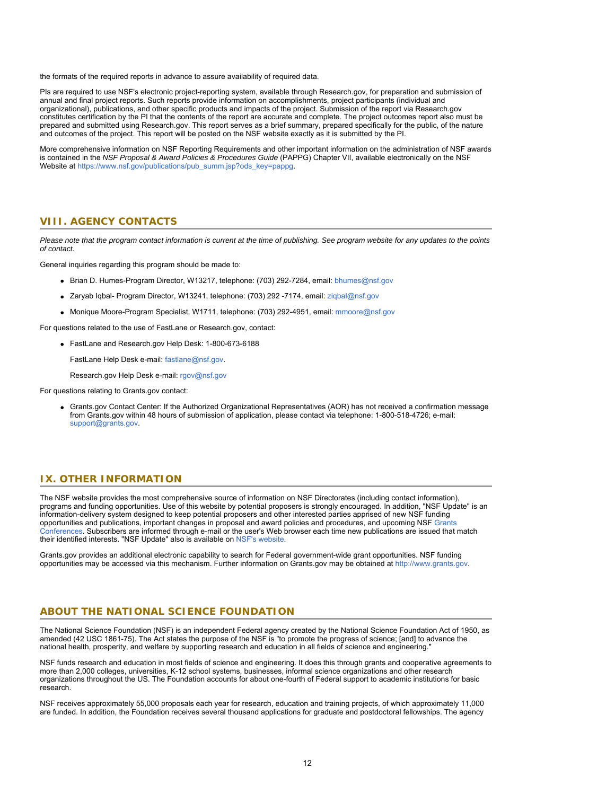the formats of the required reports in advance to assure availability of required data.

PIs are required to use NSF's electronic project-reporting system, available through Research.gov, for preparation and submission of annual and final project reports. Such reports provide information on accomplishments, project participants (individual and organizational), publications, and other specific products and impacts of the project. Submission of the report via Research.gov constitutes certification by the PI that the contents of the report are accurate and complete. The project outcomes report also must be prepared and submitted using Research.gov. This report serves as a brief summary, prepared specifically for the public, of the nature and outcomes of the project. This report will be posted on the NSF website exactly as it is submitted by the PI.

<span id="page-11-0"></span>More comprehensive information on NSF Reporting Requirements and other important information on the administration of NSF awards is contained in the *NSF Proposal & Award Policies & Procedures Guide* (PAPPG) Chapter VII, available electronically on the NSF Website at [https://www.nsf.gov/publications/pub\\_summ.jsp?ods\\_key=pappg](https://www.nsf.gov/publications/pub_summ.jsp?ods_key=pappg).

### **VIII. AGENCY CONTACTS**

*Please note that the program contact information is current at the time of publishing. See program website for any updates to the points of contact.*

General inquiries regarding this program should be made to:

- Brian D. Humes-Program Director, W13217, telephone: (703) 292-7284, email: [bhumes@nsf.gov](mailto:bhumes@nsf.gov)
- Zaryab Iqbal- Program Director, W13241, telephone: (703) 292 -7174, email: [ziqbal@nsf.gov](mailto:ziqbal@nsf.gov)
- Monique Moore-Program Specialist, W1711, telephone: (703) 292-4951, email: [mmoore@nsf.gov](mailto:mmoore@nsf.gov)

For questions related to the use of FastLane or Research.gov, contact:

FastLane and Research.gov Help Desk: 1-800-673-6188

FastLane Help Desk e-mail: [fastlane@nsf.gov](mailto:fastlane@nsf.gov).

Research.gov Help Desk e-mail: [rgov@nsf.gov](mailto:rgov@nsf.gov)

<span id="page-11-1"></span>For questions relating to Grants.gov contact:

Grants.gov Contact Center: If the Authorized Organizational Representatives (AOR) has not received a confirmation message from Grants.gov within 48 hours of submission of application, please contact via telephone: 1-800-518-4726; e-mail: [support@grants.gov.](mailto:support@grants.gov)

### **IX. OTHER INFORMATION**

The NSF website provides the most comprehensive source of information on NSF Directorates (including contact information), programs and funding opportunities. Use of this website by potential proposers is strongly encouraged. In addition, "NSF Update" is an information-delivery system designed to keep potential proposers and other interested parties apprised of new NSF funding opportunities and publications, important changes in proposal and award policies and procedures, and upcoming NSF [Grants](https://www.nsf.gov/bfa/dias/policy/outreach.jsp) [Conferences](https://www.nsf.gov/bfa/dias/policy/outreach.jsp). Subscribers are informed through e-mail or the user's Web browser each time new publications are issued that match their identified interests. "NSF Update" also is available on [NSF's website](https://www.nsf.gov/cgi-bin/goodbye?https://public.govdelivery.com/accounts/USNSF/subscriber/new?topic_id=USNSF_179).

Grants.gov provides an additional electronic capability to search for Federal government-wide grant opportunities. NSF funding opportunities may be accessed via this mechanism. Further information on Grants.gov may be obtained at [http://www.grants.gov](http://www.grants.gov/).

### **ABOUT THE NATIONAL SCIENCE FOUNDATION**

The National Science Foundation (NSF) is an independent Federal agency created by the National Science Foundation Act of 1950, as amended (42 USC 1861-75). The Act states the purpose of the NSF is "to promote the progress of science; [and] to advance the national health, prosperity, and welfare by supporting research and education in all fields of science and engineering."

NSF funds research and education in most fields of science and engineering. It does this through grants and cooperative agreements to more than 2,000 colleges, universities, K-12 school systems, businesses, informal science organizations and other research organizations throughout the US. The Foundation accounts for about one-fourth of Federal support to academic institutions for basic research.

NSF receives approximately 55,000 proposals each year for research, education and training projects, of which approximately 11,000 are funded. In addition, the Foundation receives several thousand applications for graduate and postdoctoral fellowships. The agency